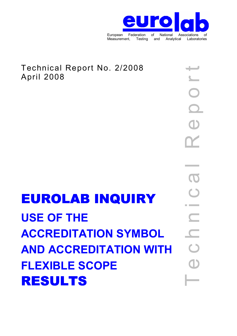

Technical Report No. 2/2008 April 2008 **EUROLAB INQUIRY USE OF THE ACCREDITATION SYMBOL AND ACCREDITATION WITH FLEXIBLE SCOPE RESULTS** t

 $\bf{O}$  $\mathbf C$  $\blacksquare$ n i c  $\overline{\textbf{C}}$  l R  $\bf{O}$  $\bigcirc$ o

 $\overline{\phantom{0}}$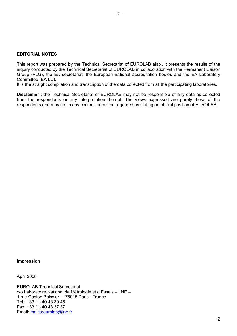#### **EDITORIAL NOTES**

This report was prepared by the Technical Secretariat of EUROLAB aisbl. It presents the results of the inquiry conducted by the Technical Secretariat of EUROLAB in collaboration with the Permanent Liaison Group (PLG), the EA secretariat, the European national accreditation bodies and the EA Laboratory Committee (EA LC).

It is the straight compilation and transcription of the data collected from all the participating laboratories.

**Disclaimer** : the Technical Secretariat of EUROLAB may not be responsible of any data as collected from the respondents or any interpretation thereof. The views expressed are purely those of the respondents and may not in any circumstances be regarded as stating an official position of EUROLAB.

#### **Impression**

April 2008

EUROLAB Technical Secretariat c/o Laboratoire National de Métrologie et d'Essais – LNE – 1 rue Gaston Boissier – 75015 Paris - France Tel.: +33 (1) 40 43 39 45 Fax: +33 (1) 40 43 37 37 Email: <mailto:eurolab@lne.fr>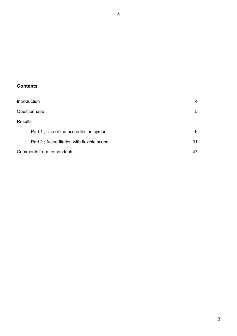|  | ٠<br>۰.<br>$\overline{\phantom{a}}$ |  |
|--|-------------------------------------|--|
|--|-------------------------------------|--|

#### **Contents**

| <b>Introduction</b>                       | 4  |
|-------------------------------------------|----|
| Questionnaire                             | 5  |
| <b>Results</b>                            |    |
| Part 1; Use of the accreditation symbol   | 9  |
| Part 2; Accreditation with flexible scope | 31 |
| Comments from respondents                 | 47 |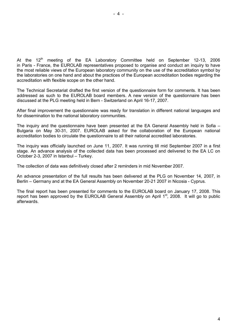At the 12<sup>th</sup> meeting of the EA Laboratory Committee held on September 12-13, 2006 in Paris - France, the EUROLAB representatives proposed to organise and conduct an inquiry to have the most reliable views of the European laboratory community on the use of the accreditation symbol by the laboratories on one hand and about the practices of the European accreditation bodies regarding the accreditation with flexible scope on the other hand.

The Technical Secretariat drafted the first version of the questionnaire form for comments. It has been addressed as such to the EUROLAB board members. A new version of the questionnaire has been discussed at the PLG meeting held in Bern - Switzerland on April 16-17, 2007.

After final improvement the questionnaire was ready for translation in different national languages and for dissemination to the national laboratory communities.

The inquiry and the questionnaire have been presented at the EA General Assembly held in Sofia – Bulgaria on May 30-31, 2007. EUROLAB asked for the collaboration of the European national accreditation bodies to circulate the questionnaire to all their national accredited laboratories.

The inquiry was officially launched on June 11, 2007. It was running till mid September 2007 in a first stage. An advance analysis of the collected data has been processed and delivered to the EA LC on October 2-3, 2007 in Istanbul – Turkey.

The collection of data was definitively closed after 2 reminders in mid November 2007.

An advance presentation of the full results has been delivered at the PLG on November 14, 2007, in Berlin – Germany and at the EA General Assembly on November 20-21 2007 in Nicosia - Cyprus.

The final report has been presented for comments to the EUROLAB board on January 17, 2008. This report has been approved by the EUROLAB General Assembly on April  $1<sup>st</sup>$ , 2008. It will go to public afterwards.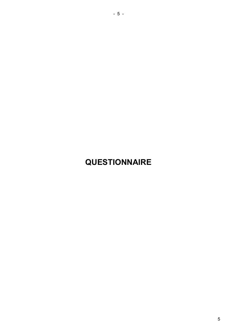# **QUESTIONNAIRE**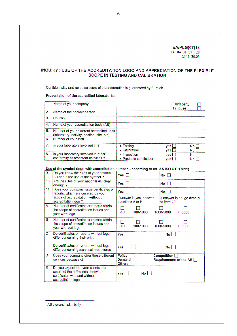EA/PLG(07)18 EL\_04\_01\_07\_128  $2007, 30.03$ 

#### INQUIRY : USE OF THE ACCREDITATION LOGO AND APPRECIATION OF THE FLEXIBLE **SCOPE IN TESTING AND CALIBRATION**

Confidentiality and non disclosure of the information is guaranteed by Eurolab.

#### Presentation of the accredited laboratories

| 1. | Name of your company                                                                    |                                          | Third party<br>In house |                                    |
|----|-----------------------------------------------------------------------------------------|------------------------------------------|-------------------------|------------------------------------|
| 2. | Name of the contact person                                                              |                                          |                         |                                    |
| З. | Country                                                                                 |                                          |                         |                                    |
| 4. | Name of your accreditation body (AB)                                                    |                                          |                         |                                    |
| 5. | Number of your different accredited units<br>(laboratory, activity, section, site, etc) |                                          |                         |                                    |
| 6. | Number of your staff                                                                    |                                          |                         |                                    |
| 7. | Is your laboratory involved in ?                                                        | • Testing<br>• Calibration               | ves i<br>ves l          | No <sub>1</sub><br>No <sub>1</sub> |
| 8. | Is your laboratory involved in other<br>conformity assessment activities ?              | • Inspection<br>• Products certification | ves l<br>ves l          | No I<br>No l                       |

#### Use of the symbol (logo with accreditation number - according to art. 3.5 ISO IEC 17011)

| 9.              | Do you know the rules of your national<br>AB about the use of the symbol?                                                      | Yes $\Box$                        |                          | No L                                       |  |
|-----------------|--------------------------------------------------------------------------------------------------------------------------------|-----------------------------------|--------------------------|--------------------------------------------|--|
| 10 <sub>1</sub> | Are the rules of your national AB clear<br>enough $?$                                                                          | Yes II                            |                          | $No$ $  $                                  |  |
| $\overline{11}$ | Does your company issue certificates or<br>reports, which are covered by your                                                  | Yes <b>N</b>                      |                          | No                                         |  |
|                 | scope of accredidation, without<br>accreditation logo?                                                                         | questions A to H                  | if answer is yes, answer | If answer is no, go directly<br>to item 12 |  |
| A               | Number of certificates or reports within<br>the scope of accreditation issues per<br>year with logo                            | $0 - 100$                         | 100-1000                 | 1000-5000<br>$+ 5000$                      |  |
| в               | Number of certificates or reports within<br>the scope of accreditation issues per<br>year without logo                         | $0 - 100$                         | 100-1000                 | 1000-5000<br>$+ 5000$                      |  |
| c               | Do certificates or reports without logo<br>differ concerning their price                                                       | <b>Yes</b>                        |                          | No l                                       |  |
|                 | Do certificates or reports without logo<br>differ concerning technical procedures                                              | <b>Yes</b>                        |                          | No I                                       |  |
| Ð               | Does your company offer these different<br>services because of                                                                 | Policy<br>Demand<br><b>Others</b> |                          | Competition<br>Requirements of the AB      |  |
| É               | Do you expect that your clients are<br>aware of the differences between<br>certificates with and without<br>accreditation logo | $Yes$                             | No I                     |                                            |  |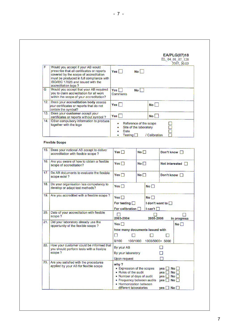|      |                                                                                                                                                                                                                                  |                   |                                                               |               | <b>EA/PLG(07)18</b><br>EL 04 01 07 128<br>2007, 30.03 |
|------|----------------------------------------------------------------------------------------------------------------------------------------------------------------------------------------------------------------------------------|-------------------|---------------------------------------------------------------|---------------|-------------------------------------------------------|
| F    | Would you accept if your AB would<br>prescribe that all certificates or reports<br>covered by the scope of accreditation<br>must be produced in full compliance with<br>ISO/IEC 17025 and issued with the<br>accreditation logo? | Yes               | No                                                            |               |                                                       |
| G    | Would you accept that your AB required<br>you to claim accreditation for all work<br>within the scope of your accreditation?                                                                                                     | Yes  <br>Comments | No <sub>1</sub>                                               |               |                                                       |
| 12.1 | Does your accreditation body assess<br>your certificates or reports that do not<br>contain the symbol?                                                                                                                           | $Yes \mid$        |                                                               | No l          |                                                       |
| 13.  | Does your customer accept your<br>certificates or reports without symbol?                                                                                                                                                        | Yes               |                                                               | No            |                                                       |
| 14.  | Other compulsory information to produce<br>together with the logo                                                                                                                                                                | ۰<br>Date         | Reference of the scope<br>Site of the laboratory<br>Testing I | / Calibration |                                                       |

#### **Flexible Scope**

| 15. | Does your national AB accept to deliver<br>accreditation with flexible scope?        | Yes $\Box$                                                                                                                                                                  | No <sub>1</sub> |                        | Don't know n                                                                     |                           |
|-----|--------------------------------------------------------------------------------------|-----------------------------------------------------------------------------------------------------------------------------------------------------------------------------|-----------------|------------------------|----------------------------------------------------------------------------------|---------------------------|
| 16. | Are you aware of how to obtain a flexible<br>scope of accreditation?                 | Yes $\Box$                                                                                                                                                                  | No <sub>1</sub> |                        |                                                                                  | Not interested <b>Not</b> |
| 17. | Do AB documents to evaluate the flexible<br>scope exist?                             | $Yes \Box$                                                                                                                                                                  | No <sub>1</sub> |                        | Don't know $\Box$                                                                |                           |
| 18. | Do your organisation has competency to<br>develop or adapt test methods?             | $Yes \Box$                                                                                                                                                                  |                 | No <sub>1</sub>        |                                                                                  |                           |
| 19. | Are you accredited with a flexible scope?                                            | $Yes \Box$                                                                                                                                                                  |                 | No <sub>1</sub>        |                                                                                  |                           |
|     |                                                                                      | For testing $\Box$                                                                                                                                                          |                 | I don't want to $\Box$ |                                                                                  |                           |
|     |                                                                                      | For calibration                                                                                                                                                             |                 | $l$ can't              |                                                                                  |                           |
| 20. | Date of your accreditation with flexible<br>scope ?                                  | 2003-2004                                                                                                                                                                   |                 | 2005-2006              |                                                                                  | in progress               |
| 21. | Did your laboratory already use the<br>opportunity of the flexible scope ?           | $Yes \Box$                                                                                                                                                                  |                 |                        |                                                                                  | No FT                     |
|     |                                                                                      | how many documents issued with                                                                                                                                              |                 |                        |                                                                                  |                           |
|     |                                                                                      | П                                                                                                                                                                           |                 |                        |                                                                                  |                           |
|     |                                                                                      | 0/100<br>100/1000                                                                                                                                                           |                 | 1000/5000+ 5000        |                                                                                  |                           |
| 22. | How your customer could be informed that<br>you should perform tests with a flexible | By your AB                                                                                                                                                                  |                 |                        |                                                                                  |                           |
|     | scope ?                                                                              | By your laboratory                                                                                                                                                          |                 |                        |                                                                                  |                           |
|     |                                                                                      | <b>Upon request</b>                                                                                                                                                         |                 |                        |                                                                                  |                           |
| 23. | Are you satisfied with the procedures<br>applied by your AB for flexible scope.      | why?<br>• Expression of the scopes<br>• Rules of the audit<br>• Number of days of audit.<br>• Frequency between audits<br>· Harmonization between<br>different laboratories |                 |                        | <b>No</b><br><b>yes</b><br>yes  <br>No:<br>No<br>yes  <br>No f<br>$\mathsf{ves}$ |                           |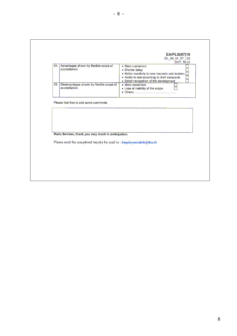| Disadvantages shown by flexible scope of<br>25.<br>• More expensive<br>accreditation<br>. Loss of visibility of the scope<br>Please feel free to add some comments<br>Maria Serrano, thank you very much in anticipation.<br>Please send the completed inquiry by mail to: inquiryeurolab@Ine.fr | 24. Advantages shown by flexible scope of<br>accreditation | EL_04_01_07_128<br>2007, 30.03<br>• More customers<br>• Shorter delay<br>• Better reactivity to new requests and tenders<br>. Ability to test according to draft standards<br>• Better recognition of the development |
|--------------------------------------------------------------------------------------------------------------------------------------------------------------------------------------------------------------------------------------------------------------------------------------------------|------------------------------------------------------------|-----------------------------------------------------------------------------------------------------------------------------------------------------------------------------------------------------------------------|
|                                                                                                                                                                                                                                                                                                  |                                                            |                                                                                                                                                                                                                       |
|                                                                                                                                                                                                                                                                                                  |                                                            |                                                                                                                                                                                                                       |
|                                                                                                                                                                                                                                                                                                  |                                                            |                                                                                                                                                                                                                       |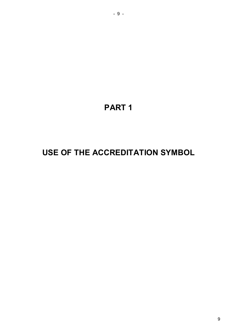# **USE OF THE ACCREDITATION SYMBOL**

**PART 1**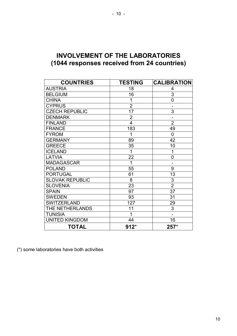| <b>COUNTRIES</b>       | <b>TESTING</b> | <b>CALIBRATION</b> |
|------------------------|----------------|--------------------|
| <b>AUSTRIA</b>         | 18             | 4                  |
| <b>BELGIUM</b>         | 16             | 3                  |
| <b>CHINA</b>           | 1              | $\overline{0}$     |
| <b>CYPRUS</b>          | $\overline{2}$ |                    |
| <b>CZECH REPUBLIC</b>  | 17             | 3                  |
| <b>DENMARK</b>         | $\overline{2}$ | ÷                  |
| <b>FINLAND</b>         | 4              | $\overline{2}$     |
| <b>FRANCE</b>          | 183            | 49                 |
| <b>FYROM</b>           | 1              | 0                  |
| <b>GERMANY</b>         | 89             | 42                 |
| <b>GREECE</b>          | 35             | 10                 |
| <b>ICELAND</b>         | 1              | 1                  |
| <b>LATVIA</b>          | 22             | $\overline{0}$     |
| <b>MADAGASCAR</b>      | 1              |                    |
| <b>POLAND</b>          | 55             | 9                  |
| <b>PORTUGAL</b>        | 61             | 13                 |
| <b>SLOVAK REPUBLIC</b> | 8              | 3                  |
| <b>SLOVENIA</b>        | 23             | $\overline{2}$     |
| <b>SPAIN</b>           | 97             | 37                 |
| <b>SWEDEN</b>          | 93             | 31                 |
| <b>SWITZERLAND</b>     | 127            | 29                 |
| THE NETHERLANDS        | 11             | 3                  |
| <b>TUNISIA</b>         | 1              |                    |
| <b>UNITED KINGDOM</b>  | 44             | 16                 |
| <b>TOTAL</b>           | $912*$         | $257*$             |

### **INVOLVEMENT OF THE LABORATORIES (1044 responses received from 24 countries)**

(\*) some laboratories have both activities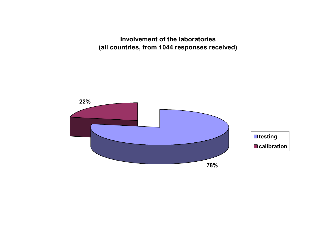**Involvement of the laboratories (all countries, from 1044 responses received)**

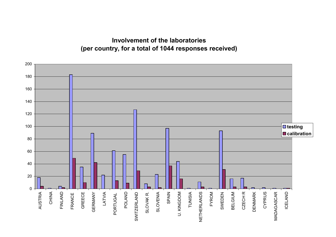### **Involvement of the laboratories (per country, for a total of 1044 responses received)**

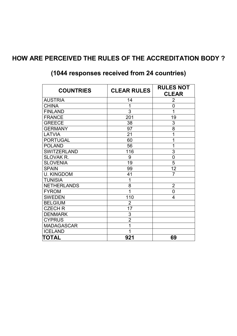### **HOW ARE PERCEIVED THE RULES OF THE ACCREDITATION BODY ?**

| <b>COUNTRIES</b>   | <b>CLEAR RULES</b> | <b>RULES NOT</b><br><b>CLEAR</b> |
|--------------------|--------------------|----------------------------------|
| <b>AUSTRIA</b>     | 14                 | 2                                |
| <b>CHINA</b>       | 1                  | 0                                |
| <b>FINLAND</b>     | 3                  | 1                                |
| <b>FRANCE</b>      | 201                | 19                               |
| <b>GREECE</b>      | 38                 | 3                                |
| <b>GERMANY</b>     | 97                 | 8                                |
| <b>LATVIA</b>      | 21                 | 1                                |
| <b>PORTUGAL</b>    | 60                 | 1                                |
| <b>POLAND</b>      | 56                 | 1                                |
| <b>SWITZERLAND</b> | 116                | 3                                |
| <b>SLOVAK R.</b>   | 9                  | 0                                |
| <b>SLOVENIA</b>    | 19                 | 5                                |
| <b>SPAIN</b>       | 99                 | 12                               |
| <b>U. KINGDOM</b>  | 41                 | $\overline{7}$                   |
| <b>TUNISIA</b>     | 1                  |                                  |
| <b>NETHERLANDS</b> | 8                  | $\overline{2}$                   |
| <b>FYROM</b>       | 1                  | $\overline{0}$                   |
| <b>SWEDEN</b>      | 110                | 4                                |
| <b>BELGIUM</b>     | $\overline{2}$     |                                  |
| <b>CZECH R</b>     | 17                 |                                  |
| <b>DENMARK</b>     | 3                  |                                  |
| <b>CYPRUS</b>      | $\overline{2}$     |                                  |
| <b>MADAGASCAR</b>  | 1                  |                                  |
| <b>ICELAND</b>     | 1                  |                                  |
| TOTAL              | 921                | 69                               |

### **(1044 responses received from 24 countries)**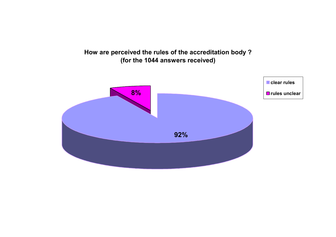**How are perceived the rules of the accreditation body ? (for the 1044 answers received)**

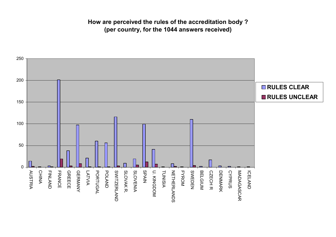**How are perceived the rules of the accreditation body ? (per country, for the 1044 answers received)**

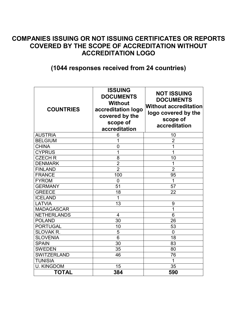### **COMPANIES ISSUING OR NOT ISSUING CERTIFICATES OR REPORTS COVERED BY THE SCOPE OF ACCREDITATION WITHOUT ACCREDITATION LOGO**

### **(1044 responses received from 24 countries)**

| <b>COUNTRIES</b>   | <b>ISSUING</b><br><b>DOCUMENTS</b><br><b>Without</b><br>accreditation logo<br>covered by the<br>scope of<br>accreditation | <b>NOT ISSUING</b><br><b>DOCUMENTS</b><br><b>Without accreditation</b><br>logo covered by the<br>scope of<br>accreditation |
|--------------------|---------------------------------------------------------------------------------------------------------------------------|----------------------------------------------------------------------------------------------------------------------------|
| <b>AUSTRIA</b>     | 6                                                                                                                         | 10                                                                                                                         |
| <b>BELGIUM</b>     | 1                                                                                                                         | $\overline{2}$                                                                                                             |
| <b>CHINA</b>       | $\overline{0}$                                                                                                            | 1                                                                                                                          |
| <b>CYPRUS</b>      | 1                                                                                                                         | 1                                                                                                                          |
| <b>CZECHR</b>      | 8                                                                                                                         | 10                                                                                                                         |
| <b>DENMARK</b>     | $\overline{2}$                                                                                                            | 1                                                                                                                          |
| <b>FINLAND</b>     | $\overline{2}$                                                                                                            | $\overline{2}$                                                                                                             |
| <b>FRANCE</b>      | 100                                                                                                                       | 95                                                                                                                         |
| <b>FYROM</b>       | $\overline{0}$                                                                                                            | 1                                                                                                                          |
| <b>GERMANY</b>     | 51                                                                                                                        | 57                                                                                                                         |
| <b>GREECE</b>      | 18                                                                                                                        | 22                                                                                                                         |
| <b>ICELAND</b>     | 1                                                                                                                         |                                                                                                                            |
| <b>LATVIA</b>      | 13                                                                                                                        | 9                                                                                                                          |
| <b>MADAGASCAR</b>  |                                                                                                                           | 1                                                                                                                          |
| <b>NETHERLANDS</b> | $\overline{4}$                                                                                                            | 6                                                                                                                          |
| <b>POLAND</b>      | 30                                                                                                                        | 26                                                                                                                         |
| <b>PORTUGAL</b>    | 10                                                                                                                        | 53                                                                                                                         |
| <b>SLOVAK R.</b>   | 5                                                                                                                         | 0                                                                                                                          |
| <b>SLOVENIA</b>    | $6\phantom{1}$                                                                                                            | 18                                                                                                                         |
| <b>SPAIN</b>       | 30                                                                                                                        | 83                                                                                                                         |
| <b>SWEDEN</b>      | 35                                                                                                                        | 80                                                                                                                         |
| <b>SWITZERLAND</b> | 46                                                                                                                        | 76                                                                                                                         |
| <b>TUNISIA</b>     |                                                                                                                           | 1                                                                                                                          |
| <b>U. KINGDOM</b>  | 15                                                                                                                        | 35                                                                                                                         |
| <b>TOTAL</b>       | 384                                                                                                                       | 590                                                                                                                        |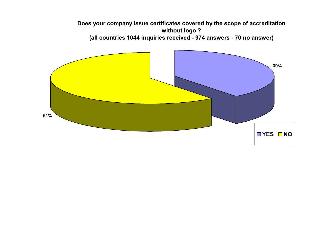### **Does your company issue certificates covered by the scope of accreditation without logo ? (all countries 1044 inquiries received - 974 answers - 70 no answer)**

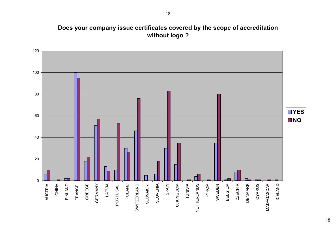

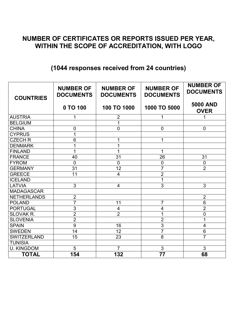### **NUMBER OF CERTIFICATES OR REPORTS ISSUED PER YEAR, WITHIN THE SCOPE OF ACCREDITATION, WITH LOGO**

### **(1044 responses received from 24 countries)**

| <b>COUNTRIES</b>   | <b>NUMBER OF</b><br><b>DOCUMENTS</b> | <b>NUMBER OF</b><br><b>DOCUMENTS</b> | <b>NUMBER OF</b><br><b>DOCUMENTS</b> | <b>NUMBER OF</b><br><b>DOCUMENTS</b> |
|--------------------|--------------------------------------|--------------------------------------|--------------------------------------|--------------------------------------|
|                    | 0 TO 100                             | 100 TO 1000                          | 1000 TO 5000                         | <b>5000 AND</b><br><b>OVER</b>       |
| <b>AUSTRIA</b>     | 1                                    | 2                                    | 1                                    |                                      |
| <b>BELGIUM</b>     |                                      | $\overline{1}$                       |                                      |                                      |
| <b>CHINA</b>       | $\mathbf 0$                          | $\overline{0}$                       | $\mathbf 0$                          | $\mathbf 0$                          |
| <b>CYPRUS</b>      | 1                                    |                                      |                                      |                                      |
| <b>CZECHR</b>      | 6                                    | 1                                    | 1                                    |                                      |
| <b>DENMARK</b>     | 1                                    | 1                                    |                                      |                                      |
| <b>FINLAND</b>     | 1                                    | 1                                    | 1                                    |                                      |
| <b>FRANCE</b>      | 40                                   | 31                                   | 26                                   | 31                                   |
| <b>FYROM</b>       | $\overline{0}$                       | $\overline{0}$                       | $\overline{0}$                       | $\overline{0}$                       |
| <b>GERMANY</b>     | 31                                   | 12                                   | $\overline{7}$                       | $\overline{2}$                       |
| <b>GREECE</b>      | 11                                   | $\overline{4}$                       | $\overline{2}$                       |                                      |
| <b>ICELAND</b>     |                                      |                                      | 1                                    |                                      |
| LATVIA             | 3                                    | $\overline{4}$                       | $\overline{3}$                       | 3                                    |
| <b>MADAGASCAR</b>  |                                      |                                      |                                      |                                      |
| <b>NETHERLANDS</b> | $\overline{2}$                       |                                      |                                      | $\overline{2}$                       |
| <b>POLAND</b>      | $\overline{7}$                       | 11                                   | 7                                    | 6                                    |
| <b>PORTUGAL</b>    | 3                                    | $\overline{\mathbf{4}}$              | 4                                    | $\overline{2}$                       |
| <b>SLOVAK R.</b>   | $\overline{2}$                       | $\overline{2}$                       | 1                                    | $\overline{0}$                       |
| <b>SLOVENIA</b>    | $\overline{2}$                       |                                      | $\overline{2}$                       | 1                                    |
| <b>SPAIN</b>       | $\overline{9}$                       | 16                                   | $\overline{3}$                       | $\overline{\mathbf{4}}$              |
| <b>SWEDEN</b>      | 14                                   | 12                                   | $\overline{7}$                       | 6                                    |
| <b>SWITZERLAND</b> | 15                                   | 23                                   | 8                                    | $\overline{7}$                       |
| <b>TUNISIA</b>     |                                      |                                      |                                      |                                      |
| <b>U. KINGDOM</b>  | 5                                    | $\overline{7}$                       | 3                                    | 3                                    |
| <b>TOTAL</b>       | 154                                  | 132                                  | 77                                   | 68                                   |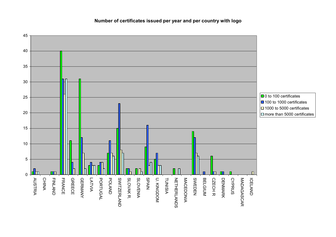**Number of certificates issued per year and per country with logo**

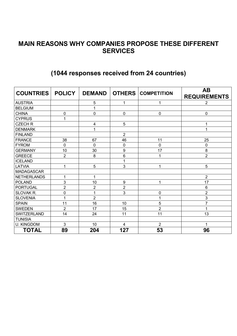### **MAIN REASONS WHY COMPANIES PROPOSE THESE DIFFERENT SERVICES**

| <b>COUNTRIES</b>   | <b>POLICY</b>  | <b>DEMAND</b>  | <b>OTHERS</b>   | <b>COMPETITION</b> | <b>AB</b><br><b>REQUIREMENTS</b> |
|--------------------|----------------|----------------|-----------------|--------------------|----------------------------------|
| <b>AUSTRIA</b>     |                | 5              | 1               | 1                  | $\overline{2}$                   |
| <b>BELGIUM</b>     |                | 1              |                 |                    |                                  |
| <b>CHINA</b>       | 0              | 0              | $\mathbf 0$     | $\mathbf 0$        | $\mathbf 0$                      |
| <b>CYPRUS</b>      | 1              |                |                 |                    |                                  |
| <b>CZECH R</b>     |                | 4              | 5               |                    | 1                                |
| <b>DENMARK</b>     |                | 1              |                 |                    | 1                                |
| <b>FINLAND</b>     |                |                | $\overline{2}$  |                    |                                  |
| <b>FRANCE</b>      | 38             | 67             | 46              | 11                 | 25                               |
| <b>FYROM</b>       | $\mathbf 0$    | 0              | $\mathbf 0$     | 0                  | $\mathbf 0$                      |
| <b>GERMANY</b>     | 10             | 30             | 9               | 17                 | 8                                |
| <b>GREECE</b>      | $\overline{2}$ | 8              | $6\phantom{1}6$ | 1                  | $\overline{2}$                   |
| <b>ICELAND</b>     |                |                | 1               |                    |                                  |
| LATVIA             | 1              | 5              | 3               | 1                  | 5                                |
| <b>MADAGASCAR</b>  |                |                |                 |                    |                                  |
| <b>NETHERLANDS</b> | 1              | 1              |                 |                    | $\overline{2}$                   |
| <b>POLAND</b>      | 3              | 10             | 9               | 1                  | 17                               |
| <b>PORTUGAL</b>    | $\overline{2}$ | 2              | $\overline{2}$  |                    | $6\phantom{1}$                   |
| <b>SLOVAK R.</b>   | $\mathbf 0$    | 1              | 3               | $\pmb{0}$          | $\overline{2}$                   |
| <b>SLOVENIA</b>    | 1              | $\overline{2}$ |                 | 1                  | $\overline{3}$                   |
| <b>SPAIN</b>       | 11             | 16             | 10              | 5                  | $\overline{7}$                   |
| <b>SWEDEN</b>      | $\overline{2}$ | 17             | 15              | $\overline{2}$     | 1                                |
| <b>SWITZERLAND</b> | 14             | 24             | 11              | 11                 | 13                               |
| <b>TUNISIA</b>     |                |                |                 |                    |                                  |
| <b>U. KINGDOM</b>  | 3              | 10             | 4               | $\overline{2}$     | 1                                |
| <b>TOTAL</b>       | 89             | 204            | 127             | 53                 | 96                               |

### **(1044 responses received from 24 countries)**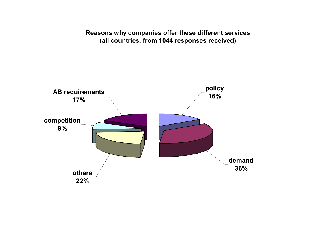**Reasons why companies offer these different services (all countries, from 1044 responses received)**

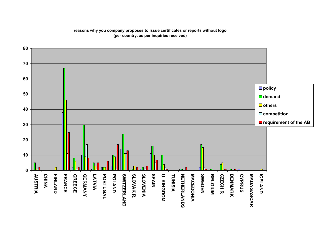#### **reasons why you company proposes to issue certificates or reports without logo (per country, as per inquiries received)**

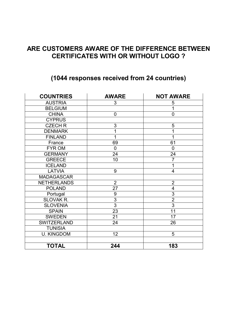### **ARE CUSTOMERS AWARE OF THE DIFFERENCE BETWEEN CERTIFICATES WITH OR WITHOUT LOGO ?**

## **(1044 responses received from 24 countries)**

| <b>COUNTRIES</b>   | <b>AWARE</b>   | <b>NOT AWARE</b>        |
|--------------------|----------------|-------------------------|
| <b>AUSTRIA</b>     | 3              | 5                       |
| <b>BELGIUM</b>     |                | 1                       |
| <b>CHINA</b>       | 0              | 0                       |
| <b>CYPRUS</b>      |                |                         |
| <b>CZECHR</b>      | 3              | 5                       |
| <b>DENMARK</b>     | 1              | 1                       |
| <b>FINLAND</b>     | 1              | 1                       |
| France             | 69             | 61                      |
| FYR OM             | 0              | $\mathbf 0$             |
| <b>GERMANY</b>     | 24             | 24                      |
| <b>GREECE</b>      | 10             | 7                       |
| <b>ICELAND</b>     |                | 1                       |
| <b>LATVIA</b>      | 9              | 4                       |
| <b>MADAGASCAR</b>  |                |                         |
| <b>NETHERLANDS</b> | $\overline{2}$ | $\overline{2}$          |
| <b>POLAND</b>      | 27             | $\overline{\mathbf{4}}$ |
| Portugal           | 9              | $\frac{3}{2}$           |
| SLOVAK R.          | $\overline{3}$ |                         |
| <b>SLOVENIA</b>    | $\overline{3}$ | $\overline{3}$          |
| <b>SPAIN</b>       | 23             | 11                      |
| <b>SWEDEN</b>      | 21             | 17                      |
| <b>SWITZERLAND</b> | 24             | 26                      |
| <b>TUNISIA</b>     |                |                         |
| <b>U. KINGDOM</b>  | 12             | 5                       |
|                    |                |                         |
| <b>TOTAL</b>       | 244            | 183                     |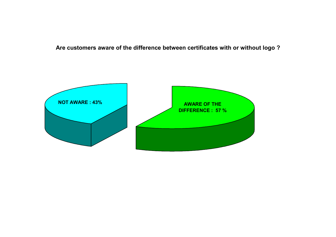**Are customers aware of the difference between certificates with or without logo ?**

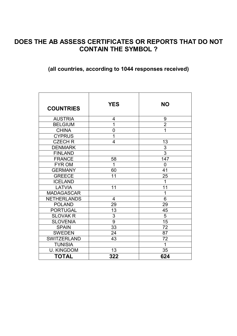### **DOES THE AB ASSESS CERTIFICATES OR REPORTS THAT DO NOT CONTAIN THE SYMBOL ?**

### **(all countries, according to 1044 responses received)**

| <b>COUNTRIES</b>   | <b>YES</b>     | <b>NO</b>       |
|--------------------|----------------|-----------------|
| <b>AUSTRIA</b>     | 4              | 9               |
| <b>BELGIUM</b>     | 1              | $\overline{2}$  |
| <b>CHINA</b>       | 0              | 1               |
| <b>CYPRUS</b>      | 1              |                 |
| <b>CZECHR</b>      | 4              | 13              |
| <b>DENMARK</b>     |                | $\overline{3}$  |
| <b>FINLAND</b>     |                | $\overline{3}$  |
| <b>FRANCE</b>      | 58             | 147             |
| <b>FYR OM</b>      | 1              | 0               |
| <b>GERMANY</b>     | 60             | 41              |
| <b>GREECE</b>      | 11             | 25              |
| <b>ICELAND</b>     |                | $\overline{1}$  |
| <b>LATVIA</b>      | 11             | 11              |
| <b>MADAGASCAR</b>  |                | 1               |
| <b>NETHERLANDS</b> | 4              | 6               |
| <b>POLAND</b>      | 29             | 29              |
| <b>PORTUGAL</b>    | 13             | 45              |
| <b>SLOVAK R</b>    | 3              | $\overline{5}$  |
| <b>SLOVENIA</b>    | $\overline{9}$ | $\overline{15}$ |
| <b>SPAIN</b>       | 33             | 72              |
| <b>SWEDEN</b>      | 24             | 87              |
| <b>SWITZERLAND</b> | 43             | 72              |
| <b>TUNISIA</b>     |                | 1               |
| <b>U. KINGDOM</b>  | 13             | 35              |
| <b>TOTAL</b>       | 322            | 624             |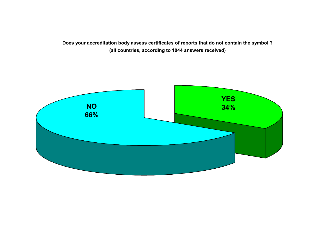### **Does your accreditation body assess certificates of reports that do not contain the symbol ? (all countries, according to 1044 answers received)**

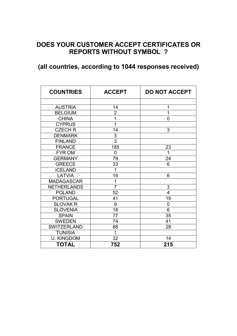### **DOES YOUR CUSTOMER ACCEPT CERTIFICATES OR REPORTS WITHOUT SYMBOL ?**

### **(all countries, according to 1044 responses received)**

| <b>COUNTRIES</b>   | <b>ACCEPT</b>  | <b>DO NOT ACCEPT</b> |
|--------------------|----------------|----------------------|
|                    |                |                      |
| <b>AUSTRIA</b>     | 14             | 1                    |
| <b>BELGIUM</b>     | $\overline{2}$ | 1                    |
| <b>CHINA</b>       | 1              | 0                    |
| <b>CYPRUS</b>      | 1              |                      |
| <b>CZECH R</b>     | 14             | 3                    |
| <b>DENMARK</b>     | 3              |                      |
| <b>FINLAND</b>     | $\overline{3}$ |                      |
| <b>FRANCE</b>      | 185            | 23                   |
| <b>FYR OM</b>      | 0              | 1                    |
| <b>GERMANY</b>     | 79             | 24                   |
| <b>GREECE</b>      | 33             | 6                    |
| <b>ICELAND</b>     | 1              |                      |
| <b>LATVIA</b>      | 16             | 6                    |
| <b>MADAGASCAR</b>  | 1              |                      |
| <b>NETHERLANDS</b> | $\overline{7}$ | 3                    |
| <b>POLAND</b>      | 52             | $\overline{4}$       |
| <b>PORTUGAL</b>    | 41             | 19                   |
| <b>SLOVAK R</b>    | 9              | 0                    |
| <b>SLOVENIA</b>    | 18             | 6                    |
| <b>SPAIN</b>       | 77             | 35                   |
| <b>SWEDEN</b>      | 74             | 41                   |
| SWITZERLAND        | 88             | 28                   |
| <b>TUNISIA</b>     | 1              |                      |
| <b>U. KINGDOM</b>  | 32             | 14                   |
| <b>TOTAL</b>       | 752            | 215                  |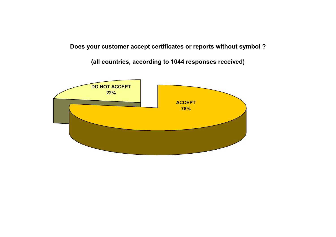**Does your customer accept certificates or reports without symbol ?** 

**(all countries, according to 1044 responses received)**

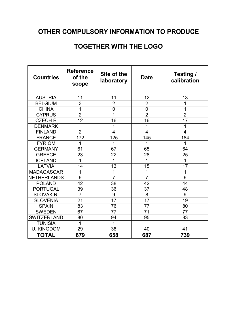### **OTHER COMPULSORY INFORMATION TO PRODUCE**

### **TOGETHER WITH THE LOGO**

| <b>Countries</b>   | <b>Reference</b><br>of the<br>scope | Site of the<br>laboratory | <b>Date</b>    | Testing /<br>calibration |
|--------------------|-------------------------------------|---------------------------|----------------|--------------------------|
|                    |                                     |                           |                |                          |
| <b>AUSTRIA</b>     | 11                                  | 11                        | 12             | 13                       |
| <b>BELGIUM</b>     | 3                                   | $\overline{2}$            | $\overline{2}$ | 1                        |
| <b>CHINA</b>       | 1                                   | 0                         | $\overline{0}$ | 1                        |
| <b>CYPRUS</b>      | $\overline{2}$                      | 1                         | $\overline{2}$ | $\overline{2}$           |
| <b>CZECHR</b>      | 12                                  | 16                        | 16             | 17                       |
| <b>DENMARK</b>     |                                     | 1                         | 1              | 1                        |
| <b>FINLAND</b>     | $\overline{2}$                      | 4                         | $\overline{4}$ | 4                        |
| <b>FRANCE</b>      | 172                                 | 125                       | 145            | 184                      |
| <b>FYR OM</b>      | 1                                   | 1                         | 1              | 1                        |
| <b>GERMANY</b>     | 61                                  | 67                        | 65             | 64                       |
| <b>GREECE</b>      | 23                                  | 22                        | 28             | 25                       |
| <b>ICELAND</b>     | 1                                   | 1                         | 1              | 1                        |
| <b>LATVIA</b>      | 14                                  | 13                        | 15             | 17                       |
| <b>MADAGASCAR</b>  | 1                                   | 1                         | 1              | 1                        |
| <b>NETHERLANDS</b> | 6                                   | $\overline{7}$            | $\overline{7}$ | 6                        |
| <b>POLAND</b>      | 42                                  | 38                        | 42             | 44                       |
| <b>PORTUGAL</b>    | 39                                  | 36                        | 37             | 48                       |
| SLOVAK R.          | $\overline{7}$                      | 9                         | 8              | 9                        |
| <b>SLOVENIA</b>    | 21                                  | $\overline{17}$           | 17             | 19                       |
| <b>SPAIN</b>       | 83                                  | 76                        | 77             | 80                       |
| <b>SWEDEN</b>      | 67                                  | 77                        | 71             | 77                       |
| <b>SWITZERLAND</b> | 80                                  | 94                        | 95             | 83                       |
| <b>TUNISIA</b>     | 1                                   | 1                         |                |                          |
| <b>U. KINGDOM</b>  | 29                                  | 38                        | 40             | 41                       |
| <b>TOTAL</b>       | 679                                 | 658                       | 687            | 739                      |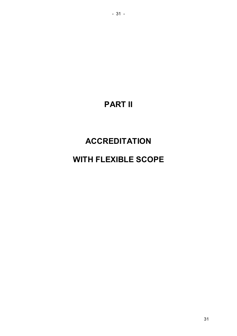# **ACCREDITATION**

**PART II** 

# **WITH FLEXIBLE SCOPE**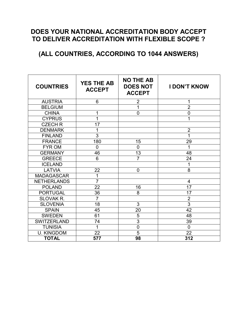### **DOES YOUR NATIONAL ACCREDITATION BODY ACCEPT TO DELIVER ACCREDITATION WITH FLEXIBLE SCOPE ?**

### **(ALL COUNTRIES, ACCORDING TO 1044 ANSWERS)**

| <b>COUNTRIES</b>   | <b>YES THE AB</b><br><b>ACCEPT</b> | <b>NO THE AB</b><br><b>DOES NOT</b><br><b>ACCEPT</b> | <b>I DON'T KNOW</b> |
|--------------------|------------------------------------|------------------------------------------------------|---------------------|
| <b>AUSTRIA</b>     | 6                                  | $\overline{2}$                                       | 1                   |
| <b>BELGIUM</b>     |                                    | 1                                                    | $\overline{2}$      |
| <b>CHINA</b>       | 1                                  | $\overline{0}$                                       | $\overline{0}$      |
| <b>CYPRUS</b>      | 1                                  |                                                      | 1                   |
| <b>CZECHR</b>      | 17                                 |                                                      |                     |
| <b>DENMARK</b>     | 1                                  |                                                      | $\overline{2}$      |
| <b>FINLAND</b>     | 3                                  |                                                      | 1                   |
| <b>FRANCE</b>      | 180                                | 15                                                   | 29                  |
| <b>FYR OM</b>      | $\overline{0}$                     | $\overline{0}$                                       | 1                   |
| <b>GERMANY</b>     | 46                                 | 13                                                   | 48                  |
| <b>GREECE</b>      | 6                                  | $\overline{7}$                                       | 24                  |
| <b>ICELAND</b>     |                                    |                                                      | 1                   |
| <b>LATVIA</b>      | 22                                 | $\overline{0}$                                       | 8                   |
| <b>MADAGASCAR</b>  | 1                                  |                                                      |                     |
| <b>NETHERLANDS</b> | $\overline{7}$                     |                                                      | 4                   |
| <b>POLAND</b>      | 22                                 | 16                                                   | $\overline{17}$     |
| <b>PORTUGAL</b>    | 36                                 | 8                                                    | 17                  |
| <b>SLOVAK R.</b>   | $\overline{7}$                     |                                                      | $\overline{2}$      |
| <b>SLOVENIA</b>    | 18                                 | 3                                                    | $\overline{3}$      |
| <b>SPAIN</b>       | 45                                 | 20                                                   | 42                  |
| <b>SWEDEN</b>      | 61                                 | 5                                                    | 48                  |
| <b>SWITZERLAND</b> | 74                                 | 3                                                    | 39                  |
| <b>TUNISIA</b>     | 1                                  | $\overline{0}$                                       | $\overline{0}$      |
| <b>U. KINGDOM</b>  | 22                                 | 5                                                    | 22                  |
| <b>TOTAL</b>       | 577                                | 98                                                   | 312                 |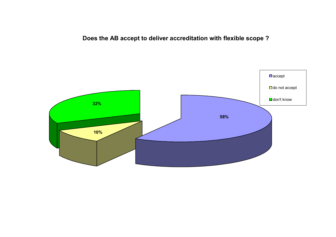### **Does the AB accept to deliver accreditation with flexible scope ?**

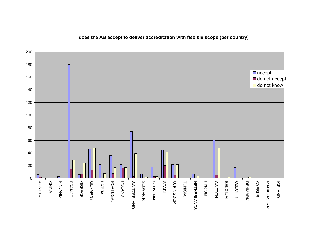#### **does the AB accept to deliver accreditation with flexible scope (per country)**

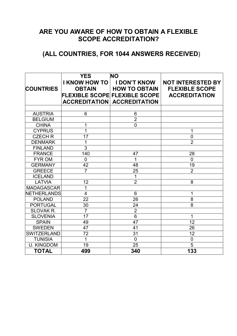### **ARE YOU AWARE OF HOW TO OBTAIN A FLEXIBLE SCOPE ACCREDITATION?**

### **(ALL COUNTRIES, FOR 1044 ANSWERS RECEIVED**)

|                    | <b>YES</b>               | <b>NO</b>                            |                          |
|--------------------|--------------------------|--------------------------------------|--------------------------|
|                    | <b>I KNOW HOW TO</b>     | <b>I DON'T KNOW</b>                  | <b>NOT INTERESTED BY</b> |
| <b>COUNTRIES</b>   | <b>OBTAIN</b>            | <b>HOW TO OBTAIN</b>                 | <b>FLEXIBLE SCOPE</b>    |
|                    |                          | <b>FLEXIBLE SCOPE FLEXIBLE SCOPE</b> | <b>ACCREDITATION</b>     |
|                    | <b>ACCREDITATION</b>     | <b>ACCREDITATION</b>                 |                          |
|                    |                          |                                      |                          |
| <b>AUSTRIA</b>     | 6                        | 6                                    |                          |
| <b>BELGIUM</b>     |                          | $\overline{2}$                       |                          |
| <b>CHINA</b>       | 1                        | $\overline{0}$                       |                          |
| <b>CYPRUS</b>      | 1                        |                                      | 1                        |
| <b>CZECHR</b>      | 17                       |                                      | $\overline{0}$           |
| <b>DENMARK</b>     | 1                        |                                      | $\overline{2}$           |
| <b>FINLAND</b>     | 3                        |                                      |                          |
| <b>FRANCE</b>      | 140                      | 47                                   | 28                       |
| <b>FYR OM</b>      | $\overline{0}$           | 1                                    | $\overline{0}$           |
| <b>GERMANY</b>     | 42                       | 48                                   | 19                       |
| <b>GREECE</b>      | $\overline{7}$           | 25                                   | $\overline{2}$           |
| <b>ICELAND</b>     |                          | 1                                    |                          |
| <b>LATVIA</b>      | 12                       | $\overline{2}$                       | 8                        |
| <b>MADAGASCAR</b>  | 1                        |                                      |                          |
| <b>NETHERLANDS</b> | $\overline{\mathcal{A}}$ | 6                                    | 1                        |
| <b>POLAND</b>      | 22                       | 26                                   | 8                        |
| <b>PORTUGAL</b>    | 30                       | 24                                   | 8                        |
| <b>SLOVAK R.</b>   | $\overline{7}$           | $\overline{2}$                       |                          |
| <b>SLOVENIA</b>    | 17                       | $6\phantom{1}6$                      | 1                        |
| <b>SPAIN</b>       | 49                       | 47                                   | 12                       |
| <b>SWEDEN</b>      | 47                       | 41                                   | 26                       |
| <b>SWITZERLAND</b> | 72                       | 31                                   | 12                       |
| <b>TUNISIA</b>     | 1                        | $\overline{0}$                       | $\overline{0}$           |
| <b>U. KINGDOM</b>  | 19                       | 25                                   | $\overline{5}$           |
| <b>TOTAL</b>       | 499                      | 340                                  | 133                      |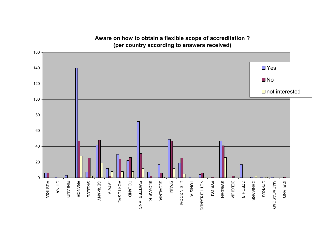### **Aware on how to obtain a flexible scope of accreditation ? (per country according to answers received)**

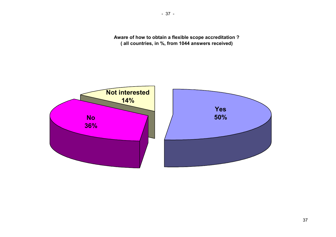**Aware of how to obtain a flexible scope accreditation ? ( all countries, in %, from 1044 answers received)**

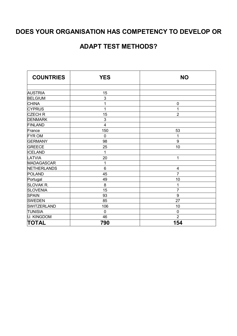### **DOES YOUR ORGANISATION HAS COMPETENCY TO DEVELOP OR**

### **ADAPT TEST METHODS?**

| <b>COUNTRIES</b>   | <b>YES</b>                | <b>NO</b>      |
|--------------------|---------------------------|----------------|
|                    |                           |                |
| <b>AUSTRIA</b>     | 15                        |                |
| <b>BELGIUM</b>     | 3                         |                |
| <b>CHINA</b>       | 1                         | 0              |
| <b>CYPRUS</b>      | 1                         | 1              |
| <b>CZECHR</b>      | 15                        | $\overline{2}$ |
| <b>DENMARK</b>     | $\ensuremath{\mathsf{3}}$ |                |
| <b>FINLAND</b>     | $\overline{\mathbf{4}}$   |                |
| France             | 150                       | 53             |
| <b>FYROM</b>       | $\mathbf 0$               | 1              |
| <b>GERMANY</b>     | 98                        | 9              |
| GREECE             | 25                        | 10             |
| <b>ICELAND</b>     | 1                         |                |
| LATVIA             | 20                        | 1              |
| MADAGASCAR         | 1                         |                |
| NETHERLANDS        | 6                         | 4              |
| <b>POLAND</b>      | 45                        | $\overline{7}$ |
| Portugal           | 49                        | 10             |
| <b>SLOVAK R.</b>   | 8                         | 1              |
| <b>SLOVENIA</b>    | 15                        | $\overline{7}$ |
| SPAIN              | 93                        | 9              |
| <b>SWEDEN</b>      | 85                        | 27             |
| <b>SWITZERLAND</b> | 106                       | 10             |
| <b>TUNISIA</b>     | $\mathbf 0$               | $\mathbf 0$    |
| <b>U. KINGDOM</b>  | 46                        | $\overline{2}$ |
| <b>TOTAL</b>       | 790                       | 154            |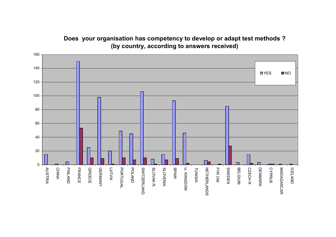### **Does your organisation has competency to develop or adapt test methods ? (by country, according to answers received)**

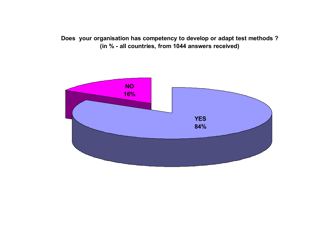**Does your organisation has competency to develop or adapt test methods ? (in % - all countries, from 1044 answers received)**

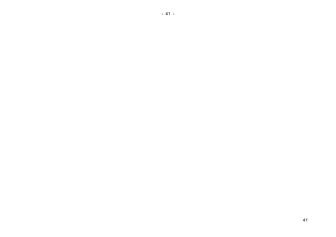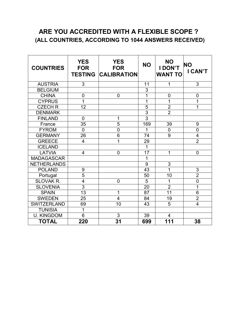### **ARE YOU ACCREDITED WITH A FLEXIBLE SCOPE ? (ALL COUNTRIES, ACCORDING TO 1044 ANSWERS RECEIVED)**

| <b>COUNTRIES</b>   | <b>YES</b><br><b>FOR</b><br><b>TESTING</b> | <b>YES</b><br><b>FOR</b><br><b>CALIBRATION</b> | <b>NO</b>      | <b>NO</b><br><b>I DON'T</b><br><b>WANT TO</b> | <b>NO</b><br>I CAN'T    |
|--------------------|--------------------------------------------|------------------------------------------------|----------------|-----------------------------------------------|-------------------------|
| <b>AUSTRIA</b>     | 3                                          |                                                | 11             | 1                                             | 3                       |
| <b>BELGIUM</b>     |                                            |                                                | 3              |                                               |                         |
| CHINA              | $\overline{0}$                             | $\overline{0}$                                 | 1              | $\overline{0}$                                | $\overline{0}$          |
| <b>CYPRUS</b>      | 1                                          |                                                | 1              | 1                                             | 1                       |
| <b>CZECHR</b>      | 12                                         |                                                | $\overline{5}$ | $\overline{2}$                                | 1                       |
| <b>DENMARK</b>     |                                            |                                                | $\overline{3}$ | $\overline{2}$                                |                         |
| <b>FINLAND</b>     | $\overline{0}$                             | 1                                              | $\overline{3}$ |                                               |                         |
| France             | 35                                         | $\overline{5}$                                 | 169            | 39                                            | 9                       |
| <b>FYROM</b>       | $\overline{0}$                             | $\overline{0}$                                 | 1              | $\overline{0}$                                | $\overline{0}$          |
| <b>GERMANY</b>     | 26                                         | 6                                              | 74             | 9                                             | $\overline{4}$          |
| <b>GREECE</b>      | $\overline{4}$                             | 1                                              | 29             |                                               | $\overline{2}$          |
| <b>ICELAND</b>     |                                            |                                                | 1              |                                               |                         |
| <b>LATVIA</b>      | $\overline{4}$                             | $\overline{0}$                                 | 17             | 1                                             | $\overline{0}$          |
| <b>MADAGASCAR</b>  |                                            |                                                | 1              |                                               |                         |
| <b>NETHERLANDS</b> |                                            |                                                | 9              | 3                                             |                         |
| <b>POLAND</b>      | 9                                          |                                                | 43             | 1                                             | 3                       |
| Portugal           | $\overline{5}$                             |                                                | 50             | 10                                            | $\overline{2}$          |
| SLOVAK R.          | 4                                          | $\overline{0}$                                 | 5              | 1                                             | $\overline{0}$          |
| <b>SLOVENIA</b>    | $\overline{3}$                             |                                                | 20             | $\overline{2}$                                | $\overline{1}$          |
| <b>SPAIN</b>       | 13                                         | 1                                              | 87             | 11                                            | $\overline{6}$          |
| <b>SWEDEN</b>      | 25                                         | $\overline{4}$                                 | 84             | 19                                            | $\overline{2}$          |
| <b>SWITZERLAND</b> | 69                                         | 10                                             | 43             | $\overline{5}$                                | $\overline{\mathbf{4}}$ |
| <b>TUNISIA</b>     | 1                                          |                                                |                |                                               |                         |
| <b>U. KINGDOM</b>  | 6                                          | 3                                              | 39             | 4                                             |                         |
| <b>TOTAL</b>       | 220                                        | 31                                             | 699            | 111                                           | 38                      |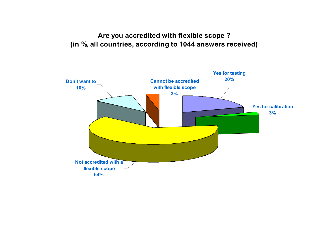### **Are you accredited with flexible scope ? (in %, all countries, according to 1044 answers received)**

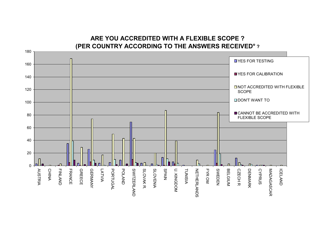### **ARE YOU ACCREDITED WITH A FLEXIBLE SCOPE ? (PER COUNTRY ACCORDING TO THE ANSWERS RECEIVED° ?**

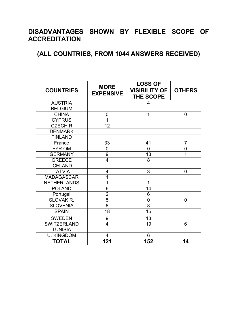### **DISADVANTAGES SHOWN BY FLEXIBLE SCOPE OF ACCREDITATION**

### **(ALL COUNTRIES, FROM 1044 ANSWERS RECEIVED)**

| <b>COUNTRIES</b>   | <b>MORE</b><br><b>EXPENSIVE</b> | <b>LOSS OF</b><br><b>VISIBILITY OF</b><br><b>THE SCOPE</b> | <b>OTHERS</b>  |
|--------------------|---------------------------------|------------------------------------------------------------|----------------|
| <b>AUSTRIA</b>     |                                 | 4                                                          |                |
| <b>BELGIUM</b>     |                                 |                                                            |                |
| <b>CHINA</b>       | 0                               | 1                                                          | $\overline{0}$ |
| <b>CYPRUS</b>      | 1                               |                                                            |                |
| <b>CZECHR</b>      | 12                              |                                                            |                |
| <b>DENMARK</b>     |                                 |                                                            |                |
| <b>FINLAND</b>     |                                 |                                                            |                |
| France             | 33                              | 41                                                         | $\overline{7}$ |
| FYR OM             | $\mathbf 0$                     | $\overline{0}$                                             | $\overline{0}$ |
| <b>GERMANY</b>     | 9                               | 13                                                         | 1              |
| <b>GREECE</b>      | 4                               | 8                                                          |                |
| <b>ICELAND</b>     |                                 |                                                            |                |
| LATVIA             | 4                               | 3                                                          | 0              |
| <b>MADAGASCAR</b>  | 1                               |                                                            |                |
| <b>NETHERLANDS</b> | 1                               | $\mathbf{1}$                                               |                |
| <b>POLAND</b>      | 6                               | 14                                                         |                |
| Portugal           | $\overline{2}$                  | 6                                                          |                |
| SLOVAK R.          | $\overline{5}$                  | $\overline{0}$                                             | 0              |
| <b>SLOVENIA</b>    | $\overline{8}$                  | $\overline{8}$                                             |                |
| <b>SPAIN</b>       | 18                              | 15                                                         |                |
| <b>SWEDEN</b>      | 9                               | 13                                                         |                |
| <b>SWITZERLAND</b> | $\overline{4}$                  | 19                                                         | 6              |
| <b>TUNISIA</b>     |                                 |                                                            |                |
| <b>U. KINGDOM</b>  | 4                               | 6                                                          |                |
| <b>TOTAL</b>       | 121                             | 152                                                        | 14             |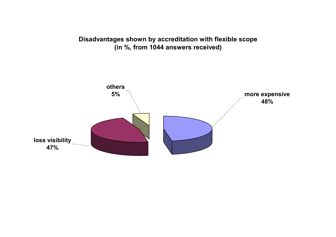### **Disadvantages shown by accreditation with flexible scope (in %, from 1044 answers received)**

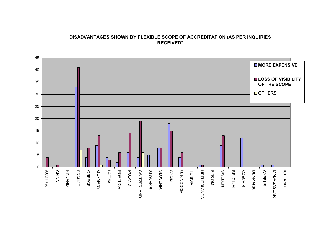#### **DISADVANTAGES SHOWN BY FLEXIBLE SCOPE OF ACCREDITATION (AS PER INQUIRIES RECEIVED°**

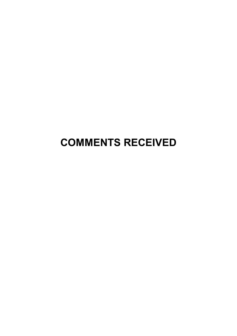# **COMMENTS RECEIVED**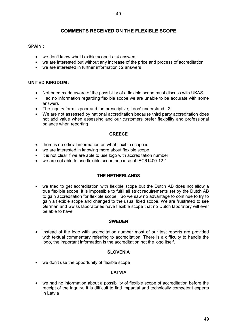#### **COMMENTS RECEIVED ON THE FLEXIBLE SCOPE**

#### **SPAIN :**

- we don't know what flexible scope is : 4 answers
- we are interested but without any increase of the price and process of accreditation
- we are interested in further information : 2 answers

#### **UNITED KINGDOM :**

- Not been made aware of the possibility of a flexible scope must discuss with UKAS
- Had no information regarding flexible scope we are unable to be accurate with some answers
- The inquiry form is poor and too prescriptive, I don' understand : 2
- We are not assessed by national accreditation because third party accreditation does not add value when assessing and our customers prefer flexibility and professional balance when reporting

#### **GREECE**

- there is no official information on what flexible scope is
- we are interested in knowing more about flexible scope
- it is not clear if we are able to use logo with accreditation number
- we are not able to use flexible scope because of IEC61400-12-1

#### **THE NETHERLANDS**

• we tried to get accreditation with flexible scope but the Dutch AB does not allow a true flexible scope, it is impossible to fulfil all strict requirements set by the Dutch AB to gain accreditation for flexible scope. So we saw no advantage to continue to try to gain a flexible scope and changed to the usual fixed scope. We are frustrated to see German and Swiss laboratories have flexible scope that no Dutch laboratory will ever be able to have.

#### **SWEDEN**

• instead of the logo with accreditation number most of our test reports are provided with textual commentary referring to accreditation. There is a difficulty to handle the logo, the important information is the accreditation not the logo itself.

#### **SLOVENIA**

• we don't use the opportunity of flexible scope

#### **LATVIA**

• we had no information about a possibility of flexible scope of accreditation before the receipt of the inquiry. It is difficult to find impartial and technically competent experts in Latvia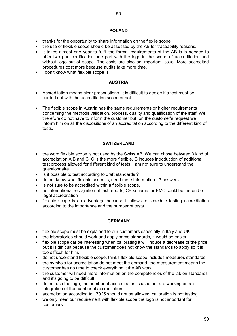#### **POLAND**

- thanks for the opportunity to share information on the flexile scope
- the use of flexible scope should be assessed by the AB for traceability reasons.
- It takes almost one year to fulfil the formal requirements of the AB is is needed to offer two part certification one part with the logo in the scope of accreditation and without logo out of scope. The costs are also an important issue. More accredited procedures cost more because audits take more time.
- I don't know what flexible scope is

#### **AUSTRIA**

- Accreditation means clear prescriptions. It is difficult to decide if a test must be carried out with the accreditation scope or not..
- The flexible scope in Austria has the same requirements or higher requirements concerning the methods validation, process, quality and qualification of the staff. We therefore do not have to inform the customer but, on the customer's request we inform him on all the dispositions of an accreditation according to the different kind of tests.

#### **SWITZERLAND**

- the word flexible scope is not used by the Swiss AB. We can chose between 3 kind of accreditation A B and C. C is the more flexible. C induces introduction of additional test process allowed for different kind of tests. I am not sure to understand the questionnaire
- is it possible to test according to draft standards ?
- do not know what flexible scope is, need more information : 3 answers
- is not sure to be accredited within a flexible scope,
- no international recognition of test reports, CB scheme for EMC could be the end of legal accreditation
- flexible scope is an advantage because it allows to schedule testing accreditation according to the importance and the number of tests.

#### **GERMANY**

- flexible scope must be explained to our customers especially in Italy and UK
- the laboratories should work and apply same standards, it would be easier
- flexible scope car be interesting when calibrating it will induce a decrease of the price but it is difficult because the customer does not know the standards to apply so it is too difficult for him,
- do not understand flexible scope, thinks flexible scope includes measures standards
- the symbols for accreditation do not meet the demand, too measurement means the customer has no time to check everything it the AB work,
- the customer will need more information on the competencies of the lab on standards and it's going to be difficult
- do not use the logo, the number of accreditation is used but are working on an integration of the number of accreditation
- accreditation according to 17025 should not be allowed, calibration is not testing
- we only meet our requirement with flexible scope the logo is not important for customers